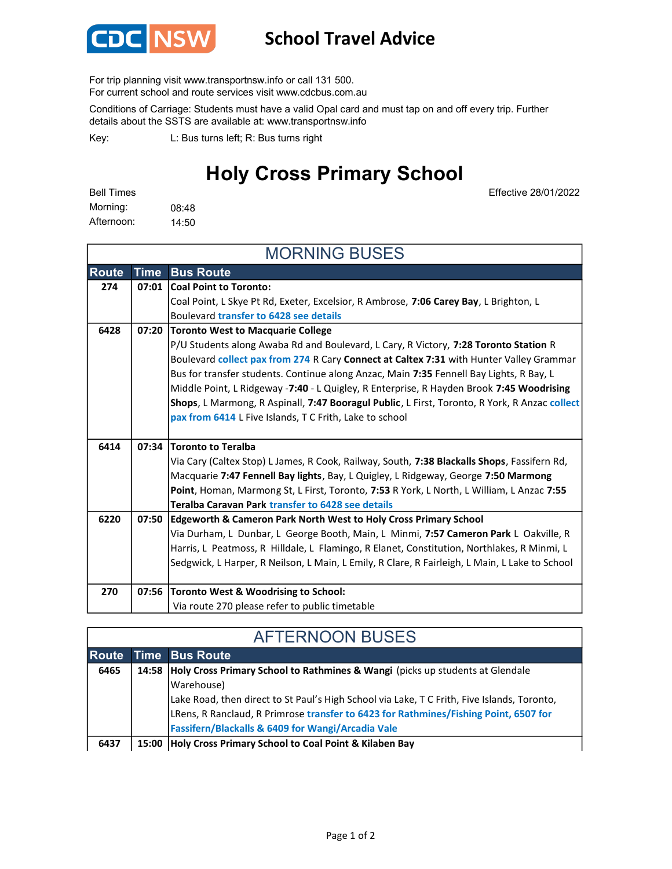

## School Travel Advice

For trip planning visit www.transportnsw.info or call 131 500.

For current school and route services visit www.cdcbus.com.au

Conditions of Carriage: Students must have a valid Opal card and must tap on and off every trip. Further details about the SSTS are available at: www.transportnsw.info

L: Bus turns left; R: Bus turns right Key:

## Holy Cross Primary School

Effective 28/01/2022

08:48 14:50 Afternoon: Morning: Bell Times

Route Time Bus Route Coal Point to Toronto: Coal Point, L Skye Pt Rd, Exeter, Excelsior, R Ambrose, 7:06 Carey Bay, L Brighton, L Boulevard transfer to 6428 see details Toronto West to Macquarie College P/U Students along Awaba Rd and Boulevard, L Cary, R Victory, 7:28 Toronto Station R Boulevard collect pax from 274 R Cary Connect at Caltex 7:31 with Hunter Valley Grammar Bus for transfer students. Continue along Anzac, Main 7:35 Fennell Bay Lights, R Bay, L Middle Point, L Ridgeway -7:40 - L Quigley, R Enterprise, R Hayden Brook 7:45 Woodrising Shops, L Marmong, R Aspinall, 7:47 Booragul Public, L First, Toronto, R York, R Anzac collect pax from 6414 L Five Islands, T C Frith, Lake to school Toronto to Teralba Via Cary (Caltex Stop) L James, R Cook, Railway, South, 7:38 Blackalls Shops, Fassifern Rd, Macquarie 7:47 Fennell Bay lights, Bay, L Quigley, L Ridgeway, George 7:50 Marmong Point, Homan, Marmong St, L First, Toronto, 7:53 R York, L North, L William, L Anzac 7:55 Teralba Caravan Park transfer to 6428 see details Edgeworth & Cameron Park North West to Holy Cross Primary School Via Durham, L Dunbar, L George Booth, Main, L Minmi, 7:57 Cameron Park L Oakville, R Harris, L Peatmoss, R Hilldale, L Flamingo, R Elanet, Constitution, Northlakes, R Minmi, L Sedgwick, L Harper, R Neilson, L Main, L Emily, R Clare, R Fairleigh, L Main, L Lake to School Toronto West & Woodrising to School: Via route 270 please refer to public timetable MORNING BUSES  $6220$  07:50 07:56 07:01 07:34 270 274 6414 07:20 6428

| <b>AFTERNOON BUSES</b> |  |                                                                                             |
|------------------------|--|---------------------------------------------------------------------------------------------|
| Route                  |  | <b>Time Bus Route</b>                                                                       |
| 6465                   |  | 14:58 Holy Cross Primary School to Rathmines & Wangi (picks up students at Glendale         |
|                        |  | Warehouse)                                                                                  |
|                        |  | Lake Road, then direct to St Paul's High School via Lake, T C Frith, Five Islands, Toronto, |
|                        |  | LRens, R Ranclaud, R Primrose transfer to 6423 for Rathmines/Fishing Point, 6507 for        |
|                        |  | Fassifern/Blackalls & 6409 for Wangi/Arcadia Vale                                           |
| 6437                   |  | 15:00 Holy Cross Primary School to Coal Point & Kilaben Bay                                 |